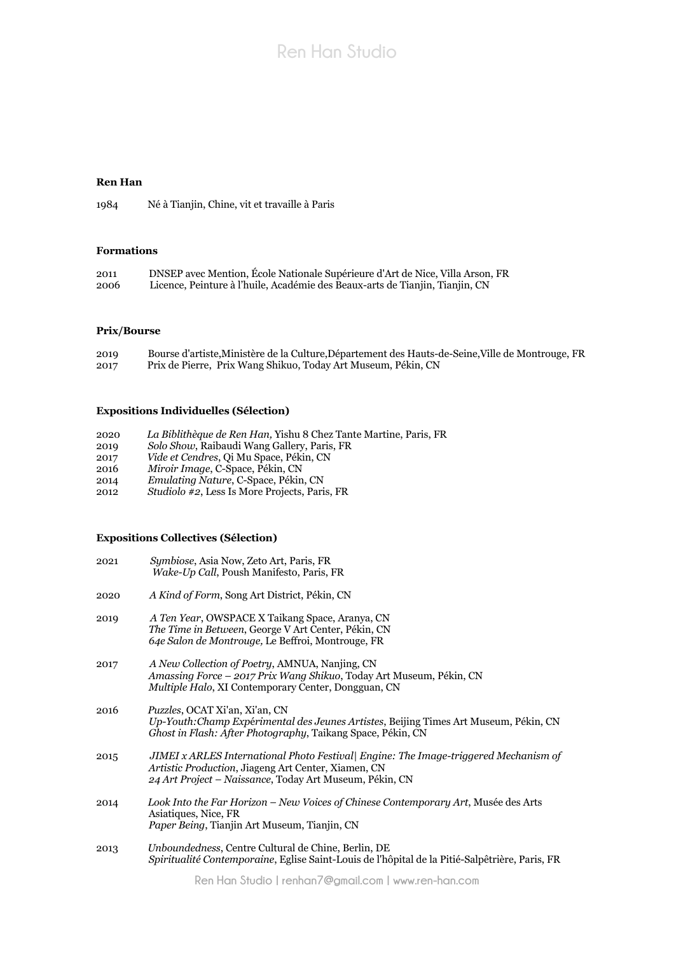# **Ren Han Studio**

## **Ren Han**

1984 Né à Tianjin, Chine, vit et travaille à Paris

#### **Formations**

| 2011 | DNSEP avec Mention, École Nationale Supérieure d'Art de Nice, Villa Arson, FR |
|------|-------------------------------------------------------------------------------|
| 2006 | Licence, Peinture à l'huile, Académie des Beaux-arts de Tianjin, Tianjin, CN  |

## **Prix/Bourse**

| 2019 | Bourse d'artiste, Ministère de la Culture, Département des Hauts-de-Seine, Ville de Montrouge, FR |
|------|---------------------------------------------------------------------------------------------------|
| 2017 | Prix de Pierre, Prix Wang Shikuo, Today Art Museum, Pékin, CN                                     |

## **Expositions Individuelles (Sélection)**

| 2020 | La Biblithèque de Ren Han, Yishu 8 Chez Tante Martine, Paris, FR |  |
|------|------------------------------------------------------------------|--|
| 2019 | Solo Show, Raibaudi Wang Gallery, Paris, FR                      |  |
| 2017 | <i>Vide et Cendres, Qi Mu Space, Pékin, CN</i>                   |  |
| 2016 | Miroir Image, C-Space, Pékin, CN                                 |  |
| 2014 | Emulating Nature, C-Space, Pékin, CN                             |  |

2012 *Studiolo #2*, Less Is More Projects, Paris, FR

#### **Expositions Collectives (Sélection)**

| 2021 | <i>Symbiose, Asia Now, Zeto Art, Paris, FR</i><br>Wake-Up Call, Poush Manifesto, Paris, FR                                                                                                                    |
|------|---------------------------------------------------------------------------------------------------------------------------------------------------------------------------------------------------------------|
| 2020 | A Kind of Form, Song Art District, Pékin, CN                                                                                                                                                                  |
| 2019 | A Ten Year, OWSPACE X Taikang Space, Aranya, CN<br>The Time in Between, George V Art Center, Pékin, CN<br>64e Salon de Montrouge, Le Beffroi, Montrouge, FR                                                   |
| 2017 | A New Collection of Poetry, AMNUA, Nanjing, CN<br><i>Amassing Force – 2017 Prix Wang Shikuo, Today Art Museum, Pékin, CN</i><br><i>Multiple Halo, XI Contemporary Center, Dongguan, CN</i>                    |
| 2016 | Puzzles, OCAT Xi'an, Xi'an, CN<br>Up-Youth: Champ Expérimental des Jeunes Artistes, Beijing Times Art Museum, Pékin, CN<br>Ghost in Flash: After Photography, Taikang Space, Pékin, CN                        |
| 2015 | JIMEI x ARLES International Photo Festival  Engine: The Image-triggered Mechanism of<br><i>Artistic Production, Jiageng Art Center, Xiamen, CN</i><br>24 Art Project – Naissance, Today Art Museum, Pékin, CN |
| 2014 | Look Into the Far Horizon - New Voices of Chinese Contemporary Art, Musée des Arts<br>Asiatiques, Nice, FR<br>Paper Being, Tianjin Art Museum, Tianjin, CN                                                    |
| 2013 | Unboundedness, Centre Cultural de Chine, Berlin, DE<br>Spiritualité Contemporaine, Eglise Saint-Louis de l'hôpital de la Pitié-Salpêtrière, Paris, FR                                                         |